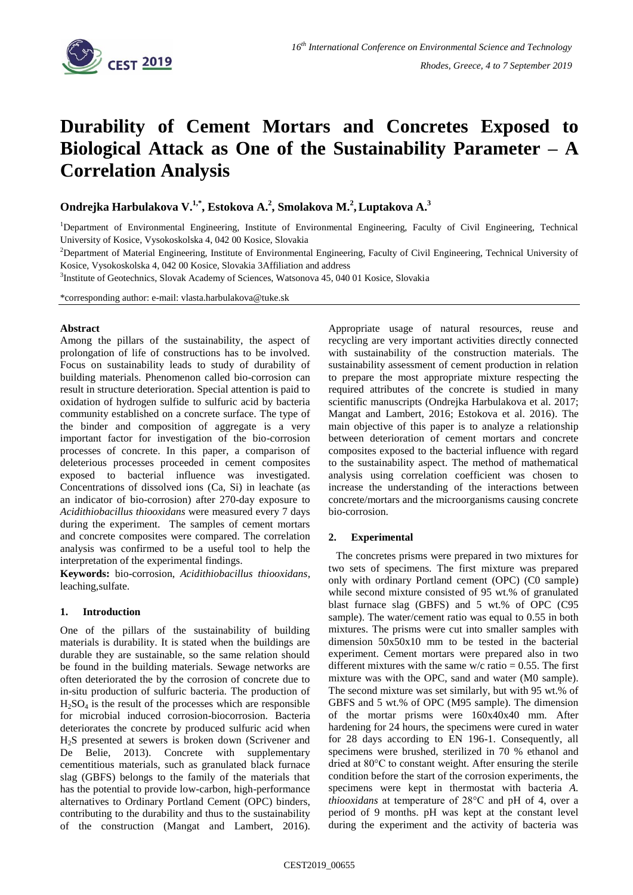

# **Durability of Cement Mortars and Concretes Exposed to Biological Attack as One of the Sustainability Parameter – A Correlation Analysis**

**Ondrejka Harbulakova V. 1,\* , Estokova A. 2 , Smolakova M. 2 ,Luptakova A. 3**

<sup>1</sup>Department of Environmental Engineering, Institute of Environmental Engineering, Faculty of Civil Engineering, Technical University of Kosice, Vysokoskolska 4, 042 00 Kosice, Slovakia

<sup>2</sup>Department of Material Engineering, Institute of Environmental Engineering, Faculty of Civil Engineering, Technical University of Kosice, Vysokoskolska 4, 042 00 Kosice, Slovakia 3Affiliation and address

<sup>3</sup>Institute of Geotechnics, Slovak Academy of Sciences, Watsonova 45, 040 01 Kosice, Slovakia

\*corresponding author: e-mail: vlasta.harbulakova@tuke.sk

#### **Abstract**

Among the pillars of the sustainability, the aspect of prolongation of life of constructions has to be involved. Focus on sustainability leads to study of durability of building materials. Phenomenon called bio-corrosion can result in structure deterioration. Special attention is paid to oxidation of hydrogen sulfide to sulfuric acid by bacteria community established on a concrete surface. The type of the binder and composition of aggregate is a very important factor for investigation of the bio-corrosion processes of concrete. In this paper, a comparison of deleterious processes proceeded in cement composites exposed to bacterial influence was investigated. Concentrations of dissolved ions (Ca, Si) in leachate (as an indicator of bio-corrosion) after 270-day exposure to *Acidithiobacillus thiooxidans* were measured every 7 days during the experiment. The samples of cement mortars and concrete composites were compared. The correlation analysis was confirmed to be a useful tool to help the interpretation of the experimental findings.

**Keywords:** bio-corrosion, *Acidithiobacillus thiooxidans*, leaching,sulfate.

## **1. Introduction**

One of the pillars of the sustainability of building materials is durability. It is stated when the buildings are durable they are sustainable, so the same relation should be found in the building materials. Sewage networks are often deteriorated the by the corrosion of concrete due to in-situ production of sulfuric bacteria. The production of  $H<sub>2</sub>SO<sub>4</sub>$  is the result of the processes which are responsible for microbial induced corrosion-biocorrosion. Bacteria deteriorates the concrete by produced sulfuric acid when H2S presented at sewers is broken down (Scrivener and De Belie, 2013). Concrete with supplementary cementitious materials, such as granulated black furnace slag (GBFS) belongs to the family of the materials that has the potential to provide low-carbon, high-performance alternatives to Ordinary Portland Cement (OPC) binders, contributing to the durability and thus to the sustainability of the construction (Mangat and Lambert, 2016).

Appropriate usage of natural resources, reuse and recycling are very important activities directly connected with sustainability of the construction materials. The sustainability assessment of cement production in relation to prepare the most appropriate mixture respecting the required attributes of the concrete is studied in many scientific manuscripts (Ondrejka Harbulakova et al. 2017; Mangat and Lambert, 2016; Estokova et al. 2016). The main objective of this paper is to analyze a relationship between deterioration of cement mortars and concrete composites exposed to the bacterial influence with regard to the sustainability aspect. The method of mathematical analysis using correlation coefficient was chosen to increase the understanding of the interactions between concrete/mortars and the microorganisms causing concrete bio-corrosion.

## **2. Experimental**

The concretes prisms were prepared in two mixtures for two sets of specimens. The first mixture was prepared only with ordinary Portland cement (OPC) (C0 sample) while second mixture consisted of 95 wt.% of granulated blast furnace slag (GBFS) and 5 wt.% of OPC (C95 sample). The water/cement ratio was equal to 0.55 in both mixtures. The prisms were cut into smaller samples with dimension 50x50x10 mm to be tested in the bacterial experiment. Cement mortars were prepared also in two different mixtures with the same  $w/c$  ratio = 0.55. The first mixture was with the OPC, sand and water (M0 sample). The second mixture was set similarly, but with 95 wt.% of GBFS and 5 wt.% of OPC (M95 sample). The dimension of the mortar prisms were 160x40x40 mm. After hardening for 24 hours, the specimens were cured in water for 28 days according to EN 196-1. Consequently, all specimens were brushed, sterilized in 70 % ethanol and dried at 80°C to constant weight. After ensuring the sterile condition before the start of the corrosion experiments, the specimens were kept in thermostat with bacteria *A. thiooxidans* at temperature of 28°C and pH of 4, over a period of 9 months. pH was kept at the constant level during the experiment and the activity of bacteria was